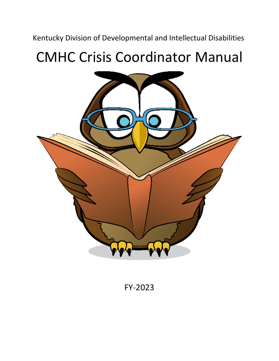Kentucky Division of Developmental and Intellectual Disabilities

# CMHC Crisis Coordinator Manual



FY-2023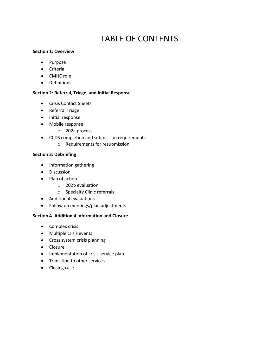# TABLE OF CONTENTS

### **Section 1: Overview**

- Purpose
- **•** Criteria
- CMHC role
- **•** Definitions

# **Section 2: Referral, Triage, and Initial Response**

- Crisis Contact Sheets
- Referral Triage
- Initial response
- Mobile response
	- o 202a process
- CCDS completion and submission requirements
	- o Requirements for resubmission

# **Section 3: Debriefing**

- Information gathering
- **•** Discussion
- Plan of action
	- o 202b evaluation
	- o Specialty Clinic referrals
- Additional evaluations
- Follow up meetings/plan adjustments

# **Section 4- Additional Information and Closure**

- Complex crisis
- Multiple crisis events
- Cross system crisis planning
- Closure
- Implementation of crisis service plan
- **•** Transition to other services
- Closing case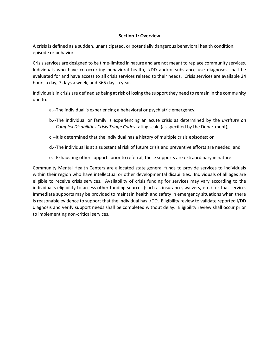#### **Section 1: Overview**

A crisis is defined as a sudden, unanticipated, or potentially dangerous behavioral health condition, episode or behavior.

Crisis services are designed to be time-limited in nature and are not meant to replace community services. Individuals who have co-occurring behavioral health, I/DD and/or substance use diagnoses shall be evaluated for and have access to all crisis services related to their needs. Crisis services are available 24 hours a day, 7 days a week, and 365 days a year.

Individuals in crisis are defined as being at risk of losing the support they need to remain in the community due to:

- a.--The individual is experiencing a behavioral or psychiatric emergency;
- b.--The individual or family is experiencing an acute crisis as determined by the *Institute on Complex Disabilities Crisis Triage Codes* rating scale (as specified by the Department);
- c.--It is determined that the individual has a history of multiple crisis episodes; or
- d.--The individual is at a substantial risk of future crisis and preventive efforts are needed, and
- e.--Exhausting other supports prior to referral, these supports are extraordinary in nature.

Community Mental Health Centers are allocated state general funds to provide services to individuals within their region who have intellectual or other developmental disabilities. Individuals of all ages are eligible to receive crisis services. Availability of crisis funding for services may vary according to the individual's eligibility to access other funding sources (such as insurance, waivers, etc.) for that service. Immediate supports may be provided to maintain health and safety in emergency situations when there is reasonable evidence to support that the individual has I/DD. Eligibility review to validate reported I/DD diagnosis and verify support needs shall be completed without delay. Eligibility review shall occur prior to implementing non-critical services.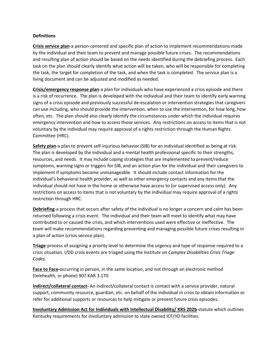#### **Definitions**

**Crisis service plan**-a person-centered and specific plan of action to implement recommendations made by the individual and their team to prevent and manage possible future crises. The recommendations and resulting plan of action should be based on the needs identified during the debriefing process. Each task on the plan should clearly identify what action will be taken, who will be responsible for completing the task, the target for completion of the task, and when the task is completed. The service plan is a living document and can be adjusted and modified as needed.

**Crisis/emergency response plan**-a plan for individuals who have experienced a crisis episode and there is a risk of recurrence. The plan is developed with the individual and their team to identify early warning signs of a crisis episode and previously successful de-escalation or intervention strategies that caregivers can use including, who should provide the intervention, when to use the intervention, for how long, how often, etc. The plan should also clearly identify the circumstances under which the individual requires emergency intervention and how to access those services. Any restrictions on access to items that is not voluntary by the individual may require approval of a rights restriction through the Human Rights Committee (HRC).

**Safety plan**-a plan to prevent self-injurious behavior (SIB) for an individual identified as being at risk. The plan is developed by the individual and a mental health professional specific to their strengths, resources, and needs. It may include coping strategies that are implemented to prevent/reduce symptoms, warning signs or triggers for SIB, and an action plan for the individual and their caregivers to implement if symptoms become unmanageable. It should include contact information for the individual's behavioral health provider, as well as other emergency contacts and any items that the individual should not have in the home or otherwise have access to (or supervised access only). Any restrictions on access to items that is not voluntary by the individual may require approval of a rights restriction through HRC.

**Debriefing**-a process that occurs after safety of the individual is no longer a concern and calm has been returned following a crisis event. The individual and their team will meet to identify what may have contributed to or caused the crisis, and which interventions used were effective or ineffective. The team will make recommendations regarding preventing and managing possible future crises resulting in a plan of action (crisis service plan).

**Triage**-process of assigning a priority level to determine the urgency and type of response required to a crisis situation. I/DD crisis events are triaged using the *Institute on Complex Disabilities Crisis Triage Codes.*

**Face to Face-**occurring in person, in the same location, and not through an electronic method (telehealth, or phone) 907 KAR 3:170

**Indirect/collateral contact-** An indirect/collateral contact is contact with a service provider, natural support, community resource, guardian, etc. on behalf of the individual in crisis to obtain information or refer for additional supports or resources to help mitigate or prevent future crisis episodes.

**Involuntary Admission Act for Individuals with Intellectual Disability/ KRS 202b**-statute which outlines Kentucky requirements for involuntary admission to state owned ICF/IID facilities.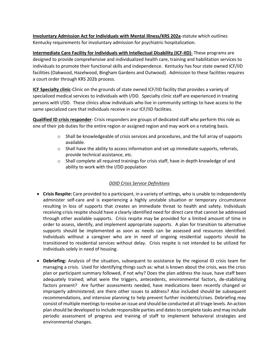**Involuntary Admission Act for Individuals with Mental Illness/KRS 202a**-statute which outlines Kentucky requirements for involuntary admission for psychiatric hospitalization.

**Intermediate Care Facility for Individuals with Intellectual Disability (ICF-IID)**- These programs are designed to provide comprehensive and individualized health care, training and habilitation services to individuals to promote their functional skills and independence. Kentucky has four state owned ICF/IID facilities (Oakwood, Hazelwood, Bingham Gardens and Outwood). Admission to these facilities requires a court order through KRS 202b process.

**ICF Specialty clinic**-Clinic on the grounds of state owned ICF/IID facility that provides a variety of specialized medical services to individuals with I/DD. Specialty clinic staff are experienced in treating persons with I/DD. These clinics allow individuals who live in community settings to have access to the same specialized care that individuals receive in our ICF/IID facilities.

**Qualified ID crisis responder**- Crisis responders are groups of dedicated staff who perform this role as one of their job duties for the entire region or assigned region and may work on a rotating basis.

- o Shall be knowledgeable of crisis services and procedures, and the full array of supports available.
- $\circ$  Shall have the ability to access information and set up immediate supports, referrals, provide technical assistance, etc.
- $\circ$  Shall complete all required trainings for crisis staff, have in depth knowledge of and ability to work with the I/DD population

# *DDID Crisis Service Definitions*

- **Crisis Respite:** Care provided to a participant, in a variety of settings, who is unable to independently administer self-care and is experiencing a highly unstable situation or temporary circumstance resulting in loss of supports that creates an immediate threat to health and safety. Individuals receiving crisis respite should have a clearly identified need for direct care that cannot be addressed through other available supports. Crisis respite may be provided for a limited amount of time in order to assess, identify, and implement appropriate supports. A plan for transition to alternative supports should be implemented as soon as needs can be assessed and resources identified. Individuals without a caregiver who are in need of ongoing residential supports should be transitioned to residential services without delay. Crisis respite is not intended to be utilized for individuals solely in need of housing.
- **Debriefing:** Analysis of the situation, subsequent to assistance by the regional ID crisis team for managing a crisis. Used for identifying things such as: what is known about the crisis, was the crisis plan or participant summary followed, if not why? Does the plan address the issue, have staff been adequately trained; what were the triggers, antecedents, environmental factors, de-stabilizing factors present? Are further assessments needed, have medications been recently changed or improperly administered; are there other issues to address? Also included should be subsequent recommendations, and intensive planning to help prevent further incidents/crises. Debriefing may consist of multiple meetings to resolve an issue and should be conducted at all triage levels. An action plan should be developed to include responsible parties and dates to complete tasks and may include periodic assessment of progress and training of staff to implement behavioral strategies and environmental changes.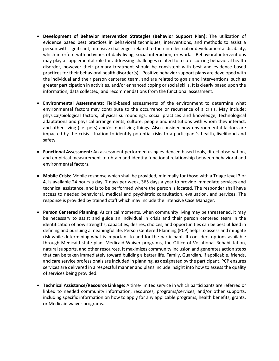- **Development of Behavior Intervention Strategies (Behavior Support Plan):** The utilization of evidence based best practices in behavioral techniques, interventions, and methods to assist a person with significant, intensive challenges related to their intellectual or developmental disability, which interfere with activities of daily living, social interaction, or work. Behavioral interventions may play a supplemental role for addressing challenges related to a co-occurring behavioral health disorder, however their primary treatment should be consistent with best and evidence based practices for their behavioral health disorder(s). Positive behavior support plans are developed with the individual and their person centered team, and are related to goals and interventions, such as greater participation in activities, and/or enhanced coping or social skills. It is clearly based upon the information, data collected, and recommendations from the functional assessment.
- **Environmental Assessments:** Field-based assessments of the environment to determine what environmental factors may contribute to the occurrence or recurrence of a crisis. May include: physical/biological factors, physical surroundings, social practices and knowledge, technological adaptations and physical arrangements, culture, people and institutions with whom they interact, and other living (i.e. pets) and/or non-living things. Also consider how environmental factors are impacted by the crisis situation to identify potential risks to a participant's health, livelihood and safety.
- **Functional Assessment:** An assessment performed using evidenced based tools, direct observation, and empirical measurement to obtain and identify functional relationship between behavioral and environmental factors.
- **Mobile Crisis:** Mobile response which shall be provided, minimally for those with a Triage level 3 or 4, is available 24 hours a day, 7 days per week, 365 days a year to provide immediate services and technical assistance, and is to be performed where the person is located. The responder shall have access to needed behavioral, medical and psychiatric consultation, evaluation, and services. The response is provided by trained staff which may include the Intensive Case Manager.
- **Person Centered Planning:** At critical moments, when community living may be threatened, it may be necessary to assist and guide an individual in crisis and their person centered team in the identification of how strengths, capacities, desires, choices, and opportunities can be best utilized in defining and pursuing a meaningful life. Person Centered Planning (PCP) helps to assess and mitigate risk while determining what is important to and for the participant. It considers options available through Medicaid state plan, Medicaid Waiver programs, the Office of Vocational Rehabilitation, natural supports, and other resources. It maximizes community inclusion and generates action steps that can be taken immediately toward building a better life. Family, Guardian, if applicable, friends, and care service professionals are included in planning, as designated by the participant. PCP ensures services are delivered in a respectful manner and plans include insight into how to assess the quality of services being provided.
- **Technical Assistance/Resource Linkage:** A time-limited service in which participants are referred or linked to needed community information, resources, programs/services, and/or other supports, including specific information on how to apply for any applicable programs, health benefits, grants, or Medicaid waiver programs.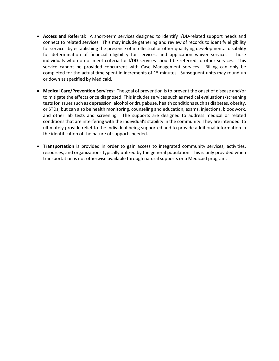- **Access and Referral:** A short-term services designed to identify I/DD-related support needs and connect to related services. This may include gathering and review of records to identify eligibility for services by establishing the presence of intellectual or other qualifying developmental disability for determination of financial eligibility for services, and application waiver services. Those individuals who do not meet criteria for I/DD services should be referred to other services. This service cannot be provided concurrent with Case Management services. Billing can only be completed for the actual time spent in increments of 15 minutes. Subsequent units may round up or down as specified by Medicaid.
- **Medical Care/Prevention Services:** The goal of prevention is to prevent the onset of disease and/or to mitigate the effects once diagnosed. This includes services such as medical evaluations/screening tests for issues such as depression, alcohol or drug abuse, health conditions such as diabetes, obesity, or STDs; but can also be health monitoring, counseling and education, exams, injections, bloodwork, and other lab tests and screening. The supports are designed to address medical or related conditions that are interfering with the individual's stability in the community. They are intended to ultimately provide relief to the individual being supported and to provide additional information in the identification of the nature of supports needed.
- **Transportation** is provided in order to gain access to integrated community services, activities, resources, and organizations typically utilized by the general population. This is only provided when transportation is not otherwise available through natural supports or a Medicaid program.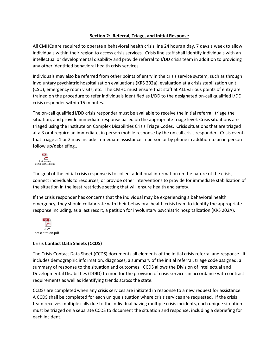# **Section 2: Referral, Triage, and Initial Response**

All CMHCs are required to operate a behavioral health crisis line 24 hours a day, 7 days a week to allow individuals within their region to access crisis services. Crisis line staff shall identify individuals with an intellectual or developmental disability and provide referral to I/DD crisis team in addition to providing any other identified behavioral health crisis services.

Individuals may also be referred from other points of entry in the crisis service system, such as through involuntary psychiatric hospitalization evaluations (KRS 202a), evaluation at a crisis stabilization unit (CSU), emergency room visits, etc. The CMHC must ensure that staff at ALL various points of entry are trained on the procedure to refer individuals identified as I/DD to the designated on-call qualified I/DD crisis responder within 15 minutes.

The on-call qualified I/DD crisis responder must be available to receive the initial referral, triage the situation, and provide immediate response based on the appropriate triage level. Crisis situations are triaged using the Institute on Complex Disabilities Crisis Triage Codes. Crisis situations that are triaged at a 3 or 4 require an immediate, in person mobile response by the on call crisis responder. Crisis events that triage a 1 or 2 may include immediate assistance in person or by phone in addition to an in person follow up/debriefing..



The goal of the initial crisis response is to collect additional information on the nature of the crisis, connect individuals to resources, or provide other interventions to provide for immediate stabilization of the situation in the least restrictive setting that will ensure health and safety.

If the crisis responder has concerns that the individual may be experiencing a behavioral health emergency, they should collaborate with their behavioral health crisis team to identify the appropriate response including, as a last resort, a petition for involuntary psychiatric hospitalization (KRS 202A).



# **Crisis Contact Data Sheets (CCDS)**

The Crisis Contact Data Sheet (CCDS) documents all elements of the initial crisis referral and response. It includes demographic information, diagnoses, a summary of the initial referral, triage code assigned, a summary of response to the situation and outcomes. CCDS allows the Division of Intellectual and Developmental Disabilities (DDID) to monitor the provision of crisis services in accordance with contract requirements as well as identifying trends across the state.

CCDSs are completedwhen any crisis services are initiated in response to a new request for assistance. A CCDS shall be completed for each unique situation where crisis services are requested. If the crisis team receives multiple calls due to the individual having multiple crisis incidents, each unique situation must be triaged on a separate CCDS to document the situation and response, including a debriefing for each incident.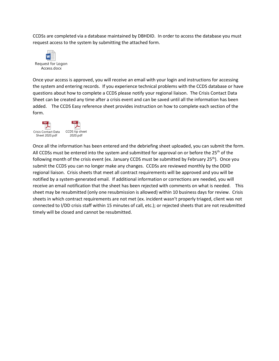CCDSs are completed via a database maintained by DBHDID. In order to access the database you must request access to the system by submitting the attached form.



Once your access is approved, you will receive an email with your login and instructions for accessing the system and entering records. If you experience technical problems with the CCDS database or have questions about how to complete a CCDS please notify your regional liaison. The Crisis Contact Data Sheet can be created any time after a crisis event and can be saved until all the information has been added. The CCDS Easy reference sheet provides instruction on how to complete each section of the form.



Once all the information has been entered and the debriefing sheet uploaded, you can submit the form. All CCDSs must be entered into the system and submitted for approval on or before the 25<sup>th</sup> of the following month of the crisis event (ex. January CCDS must be submitted by February 25<sup>th</sup>). Once you submit the CCDS you can no longer make any changes. CCDSs are reviewed monthly by the DDID regional liaison. Crisis sheets that meet all contract requirements will be approved and you will be notified by a system-generated email. If additional information or corrections are needed, you will receive an email notification that the sheet has been rejected with comments on what is needed. This sheet may be resubmitted (only one resubmission is allowed) within 10 business days for review. Crisis sheets in which contract requirements are not met (ex. incident wasn't properly triaged, client was not connected to I/DD crisis staff within 15 minutes of call, etc.); or rejected sheets that are not resubmitted timely will be closed and cannot be resubmitted.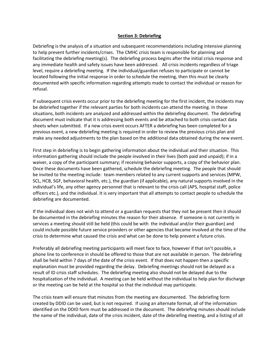#### **Section 3: Debriefing**

Debriefing is the analysis of a situation and subsequent recommendations including intensive planning to help prevent further incidents/crises. The CMHC crisis team is responsible for planning and facilitating the debriefing meeting(s). The debriefing process begins after the initial crisis response and any immediate health and safety issues have been addressed. All crisis incidents regardless of triage level, require a debriefing meeting. If the individual/guardian refuses to participate or cannot be located following the initial response in order to schedule the meeting, then this must be clearly documented with specific information regarding attempts made to contact the individual or reason for refusal.

If subsequent crisis events occur prior to the debriefing meeting for the first incident, the incidents may be debriefed together if the relevant parties for both incidents can attend the meeting. In these situations, both incidents are analyzed and addressed within the debriefing document. The debriefing document must indicate that it is addressing both events and be attached to both crisis contact data sheets when submitted. If a new crisis event occurs AFTER a debriefing has been completed for a previous event, a new debriefing meeting is required in order to review the previous crisis plan and make any needed adjustments to the plan based on the additional data obtained during the new event.

First step in debriefing is to begin gathering information about the individual and their situation. This information gathering should include the people involved in their lives (both paid and unpaid); if in a waiver, a copy of the participant summary; if receiving behavior supports, a copy of the behavior plan. Once these documents have been gathered, schedule the debriefing meeting. The people that should be invited to the meeting include: team members related to any current supports and services (MPW, SCL, HCB, SGF, behavioral health, etc.), the guardian (if applicable), any natural supports involved in the individual's life, any other agency personnel that is relevant to the crisis call (APS, hospital staff, police officers etc.), and the individual. It is very important that all attempts to contact people to schedule the debriefing are documented.

If the individual does not wish to attend or a guardian requests that they not be present then it should be documented in the debriefing minutes the reason for their absence. If someone is not currently in services a meeting should still be held (this could be with the individual and/or their guardian) and could include possible future service providers or other agencies that became involved at the time of the crisis to determine what caused the crisis and what can be done to help prevent a future crisis.

Preferably all debriefing meeting participants will meet face to face, however if that isn't possible, a phone line to conference in should be offered to those that are not available in person. The debriefing shall be held within 7 days of the date of the crisis event. If that does not happen then a specific explanation must be provided regarding the delay. Debriefing meetings should not be delayed as a result of ID crisis staff schedules. The debriefing meeting also should not be delayed due to the hospitalization of the individual. A meeting can be held without the individual to help plan for discharge or the meeting can be held at the hospital so that the individual may participate.

The crisis team will ensure that minutes from the meeting are documented. The debriefing form created by DDID can be used, but is not required. If using an alternate format, all of the information identified on the DDID form must be addressed in the document. The debriefing minutes should include the name of the individual, date of the crisis incident, date of the debriefing meeting, and a listing of all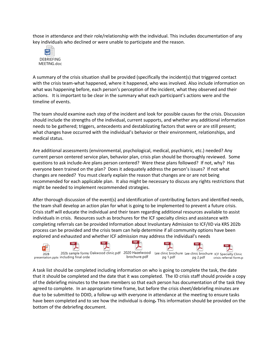those in attendance and their role/relationship with the individual. This includes documentation of any key individuals who declined or were unable to participate and the reason.



A summary of the crisis situation shall be provided (specifically the incident(s) that triggered contact with the crisis team-what happened, where it happened, who was involved. Also include information on what was happening before, each person's perception of the incident, what they observed and their actions. It is important to be clear in the summary what each participant's actions were and the timeline of events.

The team should examine each step of the incident and look for possible causes for the crisis. Discussion should include the strengths of the individual, current supports, and whether any additional information needs to be gathered; triggers, antecedents and destablizating factors that were or are still present; what changes have occurred with the individual's behavior or their environment, relationships, and medical status.

Are additional assessments (environmental, psychological, medical, psychiatric, etc.) needed? Any current person centered service plan, behavior plan, crisis plan should be thoroughly reviewed. Some questions to ask include-Are plans person centered? Were these plans followed? If not, why? Has everyone been trained on the plan? Does it adequately address the person's issues? If not what changes are needed? You must clearly explain the reason that changes are or are not being recommended for each applicable plan. It also might be necessary to discuss any rights restrictions that might be needed to implement recommended strategies.

After thorough discussion of the event(s) and identification of contributing factors and identified needs, the team shall develop an action plan for what is going to be implemented to prevent a future crisis. Crisis staff will educate the individual and their team regarding additional resources available to assist individuals in crisis. Resources such as brochures for the ICF specialty clinics and assistance with completing referrals can be provided Information about Involuntary Admission to ICF/IID via KRS 202b process can be provided and the crisis team can help determine if all community options have been explored and exhausted and whether ICF admission may address the individual's needs



A task list should be completed including information on who is going to complete the task, the date that it should be completed and the date that it was completed. The ID crisis staff should provide a copy of the debriefing minutes to the team members so that each person has documentation of the task they agreed to complete. In an appropriate time frame, but before the crisis sheet/debriefing minutes are due to be submitted to DDID, a follow-up with everyone in attendance at the meeting to ensure tasks have been completed and to see how the individual is doing. This information should be provided on the bottom of the debriefing document.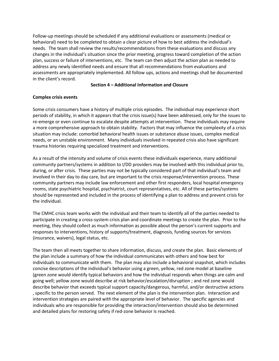Follow-up meetings should be scheduled if any additional evaluations or assessments (medical or behavioral) need to be completed to obtain a clear picture of how to best address the individual's needs. The team shall review the results/recommendations from these evaluations and discuss any changes in the individual's situation since the prior meeting, progress toward completion of the action plan, success or failure of interventions, etc. The team can then adjust the action plan as needed to address any newly identified needs and ensure that all recommendations from evaluations and assessments are appropriately implemented. All follow ups, actions and meetings shall be documented in the client's record.

#### **Section 4 – Additional Information and Closure**

### **Complex crisis events**

Some crisis consumers have a history of multiple crisis episodes. The individual may experience short periods of stability, in which it appears that the crisis issue(s) have been addressed, only for the issues to re-emerge or even continue to escalate despite attempts at intervention. These individuals may require a more comprehensive approach to obtain stability. Factors that may influence the complexity of a crisis situation may include: comorbid behavioral health issues or substance abuse issues, complex medical needs, or an unstable environment. Many individuals involved in repeated crisis also have significant trauma histories requiring specialized treatment and interventions.

As a result of the intensity and volume of crisis events these individuals experience, many additional community partners/systems in addition to I/DD providers may be involved with this individual prior to, during, or after crisis. These parties may not be typically considered part of that individual's team and involved in their day to day care, but are important to the crisis response/intervention process. These community partners may include law enforcement and other first responders, local hospital emergency rooms, state psychiatric hospital, psychiatrist, court representatives, etc. All of these parties/systems should be represented and included in the process of identifying a plan to address and prevent crisis for the individual.

The CMHC crisis team works with the individual and their team to identify all of the parties needed to participate in creating a cross-system crisis plan and coordinate meetings to create the plan. Prior to the meeting, they should collect as much information as possible about the person's current supports and responses to interventions, history of supports/treatment, diagnosis, funding sources for services (insurance, waivers), legal status, etc.

The team then all meets together to share information, discuss, and create the plan. Basic elements of the plan include a summary of how the individual communicates with others and how best for individuals to communicate with them. The plan may also include a behavioral snapshot, which includes concise descriptions of the individual's behavior using a green, yellow, red zone model at baseline (green zone would identify typical behaviors and how the individual responds when things are calm and going well; yellow zone would describe at risk behavior/escalation/disruption ; and red zone would describe behavior that exceeds typical support capacity/dangerous, harmful, and/or destructive actions , specific to the person served. The next element of the plan is the intervention plan. Interaction and intervention strategies are paired with the appropriate level of behavior. The specific agencies and individuals who are responsible for providing the interaction/intervention should also be determined and detailed plans for restoring safety if red-zone behavior is reached.